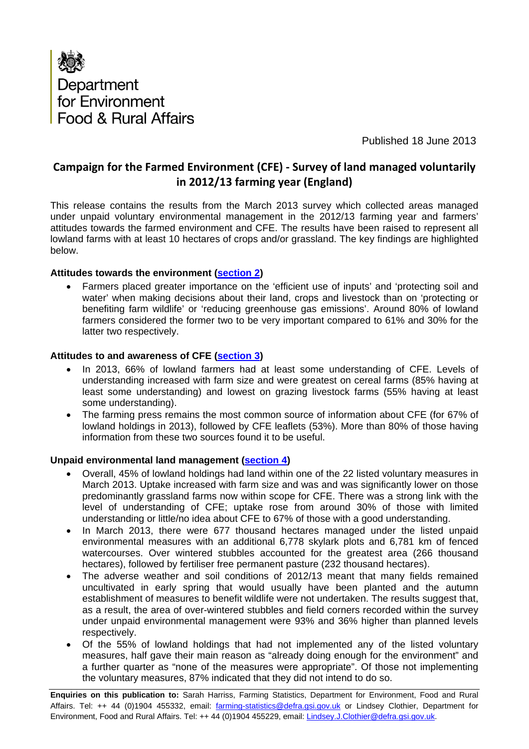

Published 18 June 2013

### **Campaign for the Farmed Environment (CFE) ‐ Survey of land managed voluntarily in 2012/13 farming year (England)**

This release contains the results from the March 2013 survey which collected areas managed under unpaid voluntary environmental management in the 2012/13 farming year and farmers' attitudes towards the farmed environment and CFE. The results have been raised to represent all lowland farms with at least 10 hectares of crops and/or grassland. The key findings are highlighted below.

#### **Attitudes towards the environment ([section 2\)](#page-2-0)**

• Farmers placed greater importance on the 'efficient use of inputs' and 'protecting soil and water' when making decisions about their land, crops and livestock than on 'protecting or benefiting farm wildlife' or 'reducing greenhouse gas emissions'. Around 80% of lowland farmers considered the former two to be very important compared to 61% and 30% for the latter two respectively.

#### **Attitudes to and awareness of CFE ([section 3\)](#page-3-0)**

- In 2013, 66% of lowland farmers had at least some understanding of CFE. Levels of understanding increased with farm size and were greatest on cereal farms (85% having at least some understanding) and lowest on grazing livestock farms (55% having at least some understanding).
- The farming press remains the most common source of information about CFE (for 67% of lowland holdings in 2013), followed by CFE leaflets (53%). More than 80% of those having information from these two sources found it to be useful.

#### **Unpaid environmental land management ([section 4](#page-5-0))**

- Overall, 45% of lowland holdings had land within one of the 22 listed voluntary measures in March 2013. Uptake increased with farm size and was and was significantly lower on those predominantly grassland farms now within scope for CFE. There was a strong link with the level of understanding of CFE; uptake rose from around 30% of those with limited understanding or little/no idea about CFE to 67% of those with a good understanding.
- In March 2013, there were 677 thousand hectares managed under the listed unpaid environmental measures with an additional 6,778 skylark plots and 6,781 km of fenced watercourses. Over wintered stubbles accounted for the greatest area (266 thousand hectares), followed by fertiliser free permanent pasture (232 thousand hectares).
- The adverse weather and soil conditions of 2012/13 meant that many fields remained uncultivated in early spring that would usually have been planted and the autumn establishment of measures to benefit wildlife were not undertaken. The results suggest that, as a result, the area of over-wintered stubbles and field corners recorded within the survey under unpaid environmental management were 93% and 36% higher than planned levels respectively.
- Of the 55% of lowland holdings that had not implemented any of the listed voluntary measures, half gave their main reason as "already doing enough for the environment" and a further quarter as "none of the measures were appropriate". Of those not implementing the voluntary measures, 87% indicated that they did not intend to do so.

**Enquiries on this publication to:** Sarah Harriss, Farming Statistics, Department for Environment, Food and Rural Affairs. Tel: ++ 44 (0)1904 455332, email: *farming-statistics@defra.gsi.gov.uk* or Lindsey Clothier, Department for Environment, Food and Rural Affairs. Tel: ++ 44 (0)1904 455229, email: Lindsey.J.Clothier@defra.gsi.gov.uk.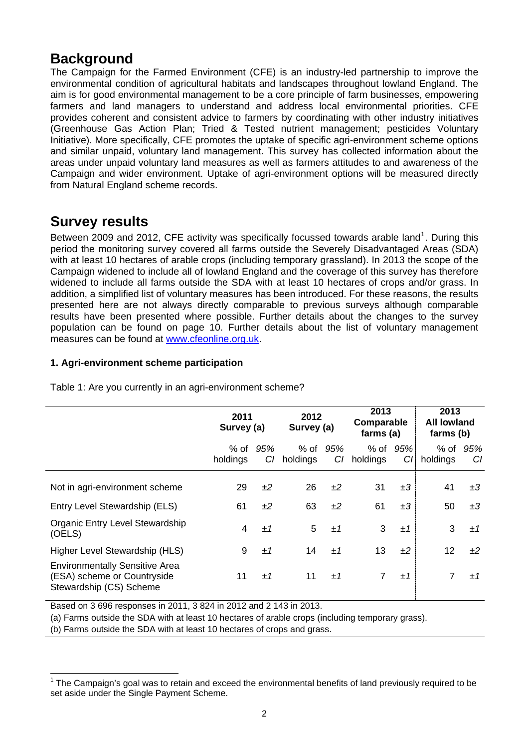## **Background**

The Campaign for the Farmed Environment (CFE) is an industry-led partnership to improve the environmental condition of agricultural habitats and landscapes throughout lowland England. The aim is for good environmental management to be a core principle of farm businesses, empowering farmers and land managers to understand and address local environmental priorities. CFE provides coherent and consistent advice to farmers by coordinating with other industry initiatives (Greenhouse Gas Action Plan; Tried & Tested nutrient management; pesticides Voluntary Initiative). More specifically, CFE promotes the uptake of specific agri-environment scheme options and similar unpaid, voluntary land management. This survey has collected information about the areas under unpaid voluntary land measures as well as farmers attitudes to and awareness of the Campaign and wider environment. Uptake of agri-environment options will be measured directly from Natural England scheme records.

## **Survey results**

Between 2009 and 20[1](#page-1-0)2, CFE activity was specifically focussed towards arable land<sup>1</sup>. During this period the monitoring survey covered all farms outside the Severely Disadvantaged Areas (SDA) with at least 10 hectares of arable crops (including temporary grassland). In 2013 the scope of the Campaign widened to include all of lowland England and the coverage of this survey has therefore widened to include all farms outside the SDA with at least 10 hectares of crops and/or grass. In addition, a simplified list of voluntary measures has been introduced. For these reasons, the results presented here are not always directly comparable to previous surveys although comparable results have been presented where possible. Further details about the changes to the survey population can be found on page 10. Further details about the list of voluntary management measures can be found at [www.cfeonline.org.uk.](www.cfeonline.org.uk)

### **1. Agri-environment scheme participation**

|                                                                                                 | 2011<br>Survey (a) |           | 2012<br>Survey (a) |           | 2013<br>Comparable<br>farms (a) |           | 2013<br><b>All lowland</b><br>farms (b) |           |
|-------------------------------------------------------------------------------------------------|--------------------|-----------|--------------------|-----------|---------------------------------|-----------|-----------------------------------------|-----------|
|                                                                                                 | % of<br>holdings   | 95%<br>CI | % of<br>holdings   | 95%<br>CI | % of<br>holdings                | 95%<br>CI | $%$ of<br>holdings                      | 95%<br>CI |
| Not in agri-environment scheme                                                                  | 29                 | ±2        | 26                 | ±2        | 31                              | ±3        | 41                                      | ±3        |
| Entry Level Stewardship (ELS)                                                                   | 61                 | ±2        | 63                 | ±2        | 61                              | ±3        | 50                                      | ±3        |
| Organic Entry Level Stewardship<br>(OELS)                                                       | 4                  | ±1        | 5                  | ±1        | 3                               | ±1        | 3                                       | ±1        |
| Higher Level Stewardship (HLS)                                                                  | 9                  | ±1        | 14                 | $+1$      | 13                              | ±2        | 12                                      | $+2$      |
| <b>Environmentally Sensitive Area</b><br>(ESA) scheme or Countryside<br>Stewardship (CS) Scheme | 11                 | ±1        | 11                 | ±1        | 7                               | ±1        |                                         | $+1$      |

Table 1: Are you currently in an agri-environment scheme?

Based on 3 696 responses in 2011, 3 824 in 2012 and 2 143 in 2013.

(a) Farms outside the SDA with at least 10 hectares of arable crops (including temporary grass).

(b) Farms outside the SDA with at least 10 hectares of crops and grass.

<span id="page-1-0"></span><sup>&</sup>lt;u> 1989 - Andrea Andrew Maria (h. 1989).</u><br>D  $1$  The Campaign's goal was to retain and exceed the environmental benefits of land previously required to be set aside under the Single Payment Scheme.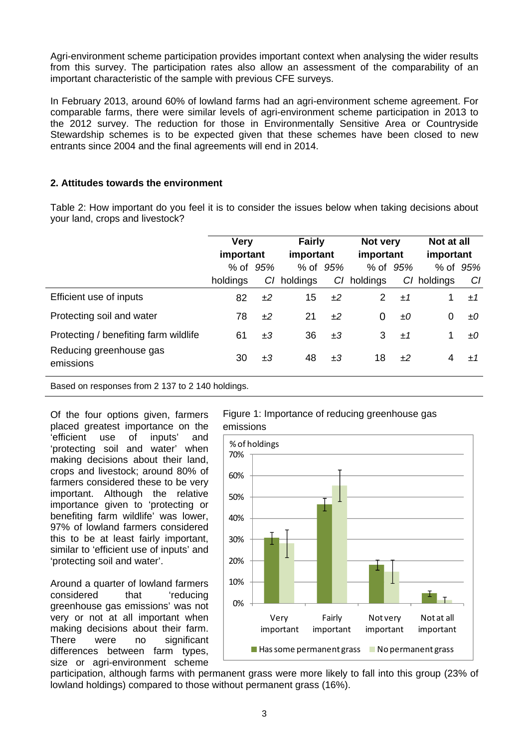<span id="page-2-0"></span>Agri-environment scheme participation provides important context when analysing the wider results from this survey. The participation rates also allow an assessment of the comparability of an important characteristic of the sample with previous CFE surveys.

In February 2013, around 60% of lowland farms had an agri-environment scheme agreement. For comparable farms, there were similar levels of agri-environment scheme participation in 2013 to the 2012 survey. The reduction for those in Environmentally Sensitive Area or Countryside Stewardship schemes is to be expected given that these schemes have been closed to new entrants since 2004 and the final agreements will end in 2014.

#### **2. Attitudes towards the environment**

Table 2: How important do you feel it is to consider the issues below when taking decisions about your land, crops and livestock?

|                                       | <b>Very</b><br>important |          | <b>Fairly</b><br>important |    | Not very<br>important |          | Not at all<br>important |          |
|---------------------------------------|--------------------------|----------|----------------------------|----|-----------------------|----------|-------------------------|----------|
|                                       |                          | % of 95% | % of 95%                   |    |                       | % of 95% |                         | % of 95% |
|                                       | holdings                 |          | C/ holdings                | CI | holdings              | CI.      | holdings                | CI       |
| Efficient use of inputs               | 82                       | ±2       | 15                         | ±2 | 2                     | ±1       |                         | ±1       |
| Protecting soil and water             | 78                       | ±2       | 21                         | ±2 | 0                     | ±Ο       | 0                       | ±О       |
| Protecting / benefiting farm wildlife | 61                       | $\pm 3$  | 36                         | ±3 | 3                     | ±1       | 1                       | ±О       |
| Reducing greenhouse gas<br>emissions  | 30                       | $\pm 3$  | 48                         | ±3 | 18                    | $+2$     | 4                       | $+1$     |

Based on responses from 2 137 to 2 140 holdings.

Of the four options given, farmers placed greatest importance on the 'efficient use of inputs' and 'protecting soil and water' when making decisions about their land, crops and livestock; around 80% of farmers considered these to be very important. Although the relative importance given to 'protecting or benefiting farm wildlife' was lower, 97% of lowland farmers considered this to be at least fairly important, similar to 'efficient use of inputs' and 'protecting soil and water'.

Around a quarter of lowland farmers considered that 'reducing greenhouse gas emissions' was not very or not at all important when making decisions about their farm. There were no significant differences between farm types, size or agri-environment scheme



Figure 1: Importance of reducing greenhouse gas

participation, although farms with permanent grass were more likely to fall into this group (23% of lowland holdings) compared to those without permanent grass (16%).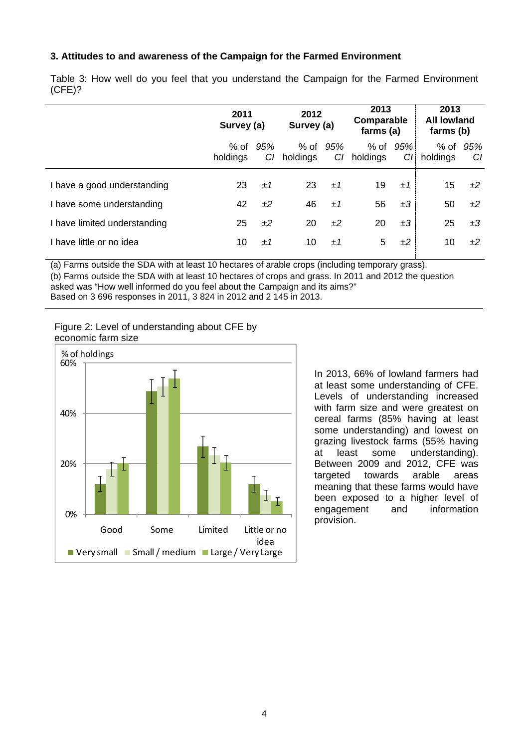#### <span id="page-3-0"></span>**3. Attitudes to and awareness of the Campaign for the Farmed Environment**

|                              | 2011<br>Survey (a) |           | 2012<br>Survey (a) |           | 2013<br>Comparable<br>farms (a) |            | 2013<br><b>All lowland</b><br>farms (b) |           |
|------------------------------|--------------------|-----------|--------------------|-----------|---------------------------------|------------|-----------------------------------------|-----------|
|                              | % of<br>holdings   | 95%<br>CI | % of<br>holdings   | 95%<br>C1 | % of<br>holdings                | 95%<br>CI. | $%$ of<br>holdings                      | 95%<br>CI |
| I have a good understanding  | 23                 | ±1        | 23                 | $+1$      | 19                              | ±1         | 15                                      | ±2        |
| I have some understanding    | 42                 | ±2        | 46                 | ±1        | 56                              | ±3         | 50                                      | ±2        |
| I have limited understanding | 25                 | ±2        | 20                 | ±2        | 20                              | $\pm 3$    | 25                                      | ±3        |
| I have little or no idea     | 10                 | $+1$      | 10                 | $+1$      | 5                               | ±2         | 10                                      | ±2        |

Table 3: How well do you feel that you understand the Campaign for the Farmed Environment (CFE)?

(a) Farms outside the SDA with at least 10 hectares of arable crops (including temporary grass).

(b) Farms outside the SDA with at least 10 hectares of crops and grass. In 2011 and 2012 the question asked was "How well informed do you feel about the Campaign and its aims?"

Based on 3 696 responses in 2011, 3 824 in 2012 and 2 145 in 2013.

Figure 2: Level of understanding about CFE by economic farm size



In 2013, 66% of lowland farmers had at least some understanding of CFE. Levels of understanding increased with farm size and were greatest on cereal farms (85% having at least some understanding) and lowest on grazing livestock farms (55% having at least some understanding). Between 2009 and 2012, CFE was targeted towards arable areas meaning that these farms would have been exposed to a higher level of engagement and information provision.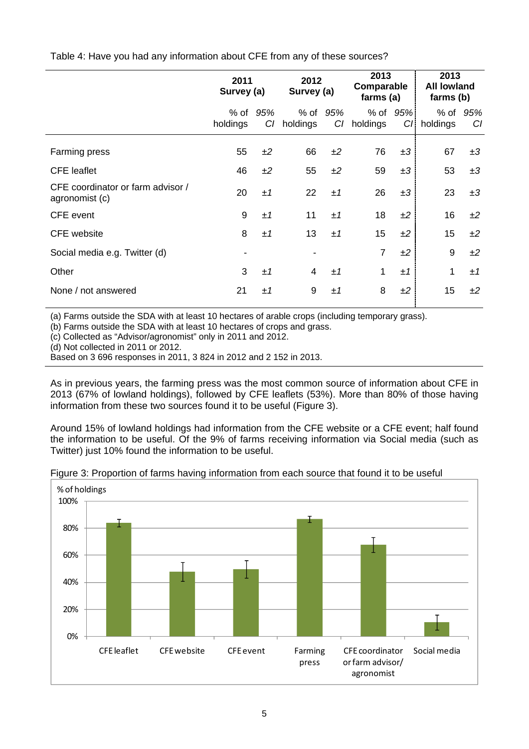Table 4: Have you had any information about CFE from any of these sources?

|                                                     | 2011<br>Survey (a) |           | 2012<br>Survey (a) |           | 2013<br>Comparable<br>farms (a) |            | 2013<br><b>All lowland</b><br>farms (b) |           |
|-----------------------------------------------------|--------------------|-----------|--------------------|-----------|---------------------------------|------------|-----------------------------------------|-----------|
|                                                     | % of<br>holdings   | 95%<br>CI | $%$ of<br>holdings | 95%<br>CI | % of<br>holdings                | 95%<br>CI. | % of<br>holdings                        | 95%<br>CI |
| Farming press                                       | 55                 | ±2        | 66                 | ±2        | 76                              | ±3         | 67                                      | ±3        |
| <b>CFE</b> leaflet                                  | 46                 | ±2        | 55                 | ±2        | 59                              | ±3         | 53                                      | ±3        |
| CFE coordinator or farm advisor /<br>agronomist (c) | 20                 | ±1        | 22                 | ±1        | 26                              | ±3         | 23                                      | ±3        |
| <b>CFE</b> event                                    | 9                  | ±1        | 11                 | ±1        | 18                              | ±2         | 16                                      | ±2        |
| <b>CFE</b> website                                  | 8                  | ±1        | 13                 | ±1        | 15                              | ±2         | 15                                      | ±2        |
| Social media e.g. Twitter (d)                       |                    |           |                    |           | $\overline{7}$                  | ±2         | 9                                       | ±2        |
| Other                                               | 3                  | ±1        | $\overline{4}$     | ±1        | 1                               | ±1         | 1                                       | ±1        |
| None / not answered                                 | 21                 | ±1        | 9                  | ±1        | 8                               | ±2         | 15                                      | ±2        |

(a) Farms outside the SDA with at least 10 hectares of arable crops (including temporary grass).

(b) Farms outside the SDA with at least 10 hectares of crops and grass.

(c) Collected as "Advisor/agronomist" only in 2011 and 2012.

(d) Not collected in 2011 or 2012.

Based on 3 696 responses in 2011, 3 824 in 2012 and 2 152 in 2013.

As in previous years, the farming press was the most common source of information about CFE in 2013 (67% of lowland holdings), followed by CFE leaflets (53%). More than 80% of those having information from these two sources found it to be useful (Figure 3).

Around 15% of lowland holdings had information from the CFE website or a CFE event; half found the information to be useful. Of the 9% of farms receiving information via Social media (such as Twitter) just 10% found the information to be useful.



Figure 3: Proportion of farms having information from each source that found it to be useful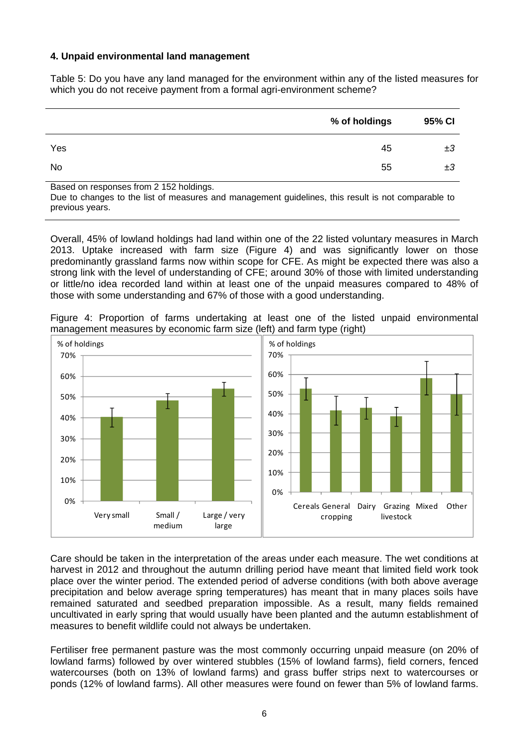#### <span id="page-5-0"></span>**4. Unpaid environmental land management**

Table 5: Do you have any land managed for the environment within any of the listed measures for which you do not receive payment from a formal agri-environment scheme?

|     | % of holdings | 95% CI |
|-----|---------------|--------|
| Yes | 45            | ±3     |
| No  | 55            | ±3     |

Based on responses from 2 152 holdings.

Due to changes to the list of measures and management guidelines, this result is not comparable to previous years.

Overall, 45% of lowland holdings had land within one of the 22 listed voluntary measures in March 2013. Uptake increased with farm size (Figure 4) and was significantly lower on those predominantly grassland farms now within scope for CFE. As might be expected there was also a strong link with the level of understanding of CFE; around 30% of those with limited understanding or little/no idea recorded land within at least one of the unpaid measures compared to 48% of those with some understanding and 67% of those with a good understanding.

Figure 4: Proportion of farms undertaking at least one of the listed unpaid environmental management measures by economic farm size (left) and farm type (right)



Care should be taken in the interpretation of the areas under each measure. The wet conditions at harvest in 2012 and throughout the autumn drilling period have meant that limited field work took place over the winter period. The extended period of adverse conditions (with both above average precipitation and below average spring temperatures) has meant that in many places soils have remained saturated and seedbed preparation impossible. As a result, many fields remained uncultivated in early spring that would usually have been planted and the autumn establishment of measures to benefit wildlife could not always be undertaken.

Fertiliser free permanent pasture was the most commonly occurring unpaid measure (on 20% of lowland farms) followed by over wintered stubbles (15% of lowland farms), field corners, fenced watercourses (both on 13% of lowland farms) and grass buffer strips next to watercourses or ponds (12% of lowland farms). All other measures were found on fewer than 5% of lowland farms.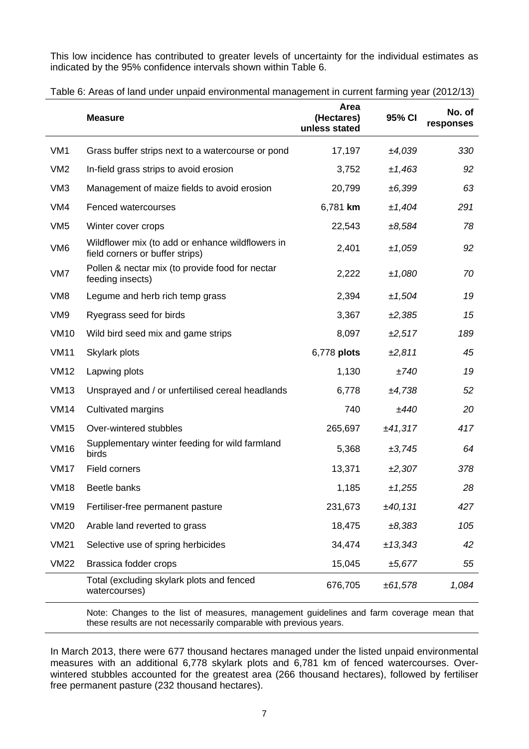This low incidence has contributed to greater levels of uncertainty for the individual estimates as indicated by the 95% confidence intervals shown within Table 6.

|                 | <b>Measure</b>                                                                      | Area<br>(Hectares)<br>unless stated | 95% CI  | No. of<br>responses |
|-----------------|-------------------------------------------------------------------------------------|-------------------------------------|---------|---------------------|
| VM <sub>1</sub> | Grass buffer strips next to a watercourse or pond                                   | 17,197                              | ±4,039  | 330                 |
| VM <sub>2</sub> | In-field grass strips to avoid erosion                                              | 3,752                               | ±1,463  | 92                  |
| VM <sub>3</sub> | Management of maize fields to avoid erosion                                         | 20,799                              | ±6,399  | 63                  |
| VM4             | Fenced watercourses                                                                 | 6,781 km                            | ±1,404  | 291                 |
| VM <sub>5</sub> | Winter cover crops                                                                  | 22,543                              | ±8,584  | 78                  |
| VM <sub>6</sub> | Wildflower mix (to add or enhance wildflowers in<br>field corners or buffer strips) | 2,401                               | ±1,059  | 92                  |
| VM7             | Pollen & nectar mix (to provide food for nectar<br>feeding insects)                 | 2,222                               | ±1,080  | 70                  |
| VM <sub>8</sub> | Legume and herb rich temp grass                                                     | 2,394                               | ±1,504  | 19                  |
| VM9             | Ryegrass seed for birds                                                             | 3,367                               | ±2,385  | 15                  |
| <b>VM10</b>     | Wild bird seed mix and game strips                                                  | 8,097                               | ±2,517  | 189                 |
| <b>VM11</b>     | Skylark plots                                                                       | 6,778 plots                         | ±2,811  | 45                  |
| <b>VM12</b>     | Lapwing plots                                                                       | 1,130                               | ±740    | 19                  |
| <b>VM13</b>     | Unsprayed and / or unfertilised cereal headlands                                    | 6,778                               | ±4,738  | 52                  |
| <b>VM14</b>     | Cultivated margins                                                                  | 740                                 | ±440    | 20                  |
| <b>VM15</b>     | Over-wintered stubbles                                                              | 265,697                             | ±41,317 | 417                 |
| <b>VM16</b>     | Supplementary winter feeding for wild farmland<br>birds                             | 5,368                               | ±3,745  | 64                  |
| <b>VM17</b>     | Field corners                                                                       | 13,371                              | ±2,307  | 378                 |
| <b>VM18</b>     | Beetle banks                                                                        | 1,185                               | ±1,255  | 28                  |
| <b>VM19</b>     | Fertiliser-free permanent pasture                                                   | 231,673                             | ±40,131 | 427                 |
| <b>VM20</b>     | Arable land reverted to grass                                                       | 18,475                              | ±8,383  | 105                 |
| <b>VM21</b>     | Selective use of spring herbicides                                                  | 34,474                              | ±13,343 | 42                  |
| <b>VM22</b>     | Brassica fodder crops                                                               | 15,045                              | ±5,677  | 55                  |
|                 | Total (excluding skylark plots and fenced<br>watercourses)                          | 676,705                             | ±61,578 | 1,084               |

Table 6: Areas of land under unpaid environmental management in current farming year (2012/13)

Note: Changes to the list of measures, management guidelines and farm coverage mean that these results are not necessarily comparable with previous years.

In March 2013, there were 677 thousand hectares managed under the listed unpaid environmental measures with an additional 6,778 skylark plots and 6,781 km of fenced watercourses. Overwintered stubbles accounted for the greatest area (266 thousand hectares), followed by fertiliser free permanent pasture (232 thousand hectares).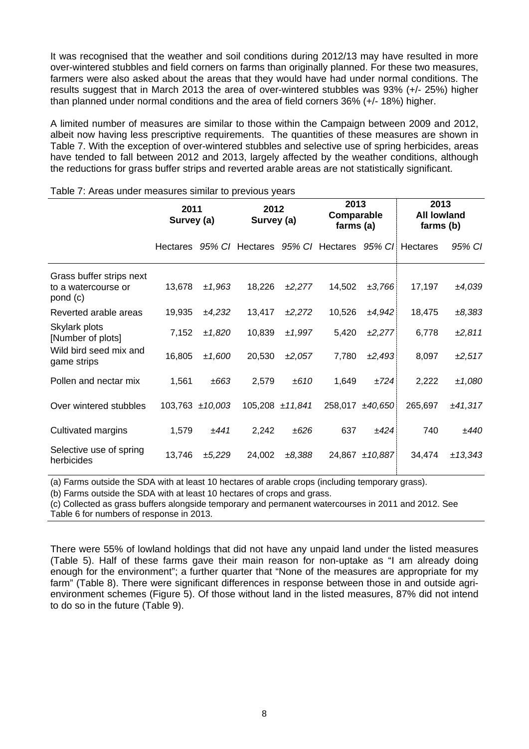It was recognised that the weather and soil conditions during 2012/13 may have resulted in more over-wintered stubbles and field corners on farms than originally planned. For these two measures, farmers were also asked about the areas that they would have had under normal conditions. The results suggest that in March 2013 the area of over-wintered stubbles was 93% (+/- 25%) higher than planned under normal conditions and the area of field corners 36% (+/- 18%) higher.

A limited number of measures are similar to those within the Campaign between 2009 and 2012, albeit now having less prescriptive requirements. The quantities of these measures are shown in Table 7. With the exception of over-wintered stubbles and selective use of spring herbicides, areas have tended to fall between 2012 and 2013, largely affected by the weather conditions, although the reductions for grass buffer strips and reverted arable areas are not statistically significant.

|                                                             |        | 2011<br>Survey (a) |                                                          | 2012<br>Survey (a) |        | 2013<br>Comparable<br>farms (a) | 2013<br><b>All lowland</b><br>farms (b) |         |
|-------------------------------------------------------------|--------|--------------------|----------------------------------------------------------|--------------------|--------|---------------------------------|-----------------------------------------|---------|
|                                                             |        |                    | Hectares 95% C/ Hectares 95% C/ Hectares 95% C/ Hectares |                    |        |                                 |                                         | 95% CI  |
| Grass buffer strips next<br>to a watercourse or<br>pond (c) | 13,678 | ±1,963             | 18,226                                                   | ±2,277             | 14,502 | ±3,766                          | 17,197                                  | ±4,039  |
| Reverted arable areas                                       | 19,935 | ±4,232             | 13,417                                                   | ±2,272             | 10,526 | ±4,942                          | 18,475                                  | ±8,383  |
| Skylark plots<br>[Number of plots]                          | 7,152  | ±1,820             | 10,839                                                   | ±1,997             | 5,420  | ±2,277                          | 6,778                                   | ±2,811  |
| Wild bird seed mix and<br>game strips                       | 16,805 | ±1,600             | 20,530                                                   | ±2,057             | 7,780  | ±2,493                          | 8,097                                   | ±2,517  |
| Pollen and nectar mix                                       | 1,561  | ±663               | 2,579                                                    | ±610               | 1,649  | ±724                            | 2,222                                   | ±1,080  |
| Over wintered stubbles                                      |        | 103,763 ±10,003    |                                                          | 105,208 ±11,841    |        | 258,017 ±40,650                 | 265,697                                 | ±41,317 |
| Cultivated margins                                          | 1,579  | ±441               | 2,242                                                    | ±626               | 637    | ±424                            | 740                                     | ±440    |
| Selective use of spring<br>herbicides                       | 13,746 | ±5,229             | 24,002                                                   | ±8,388             | 24,867 | ±10,887                         | 34,474                                  | ±13,343 |

#### Table 7: Areas under measures similar to previous years

(a) Farms outside the SDA with at least 10 hectares of arable crops (including temporary grass).

(b) Farms outside the SDA with at least 10 hectares of crops and grass.

(c) Collected as grass buffers alongside temporary and permanent watercourses in 2011 and 2012. See Table 6 for numbers of response in 2013.

There were 55% of lowland holdings that did not have any unpaid land under the listed measures (Table 5). Half of these farms gave their main reason for non-uptake as "I am already doing enough for the environment"; a further quarter that "None of the measures are appropriate for my farm" (Table 8). There were significant differences in response between those in and outside agrienvironment schemes (Figure 5). Of those without land in the listed measures, 87% did not intend to do so in the future (Table 9).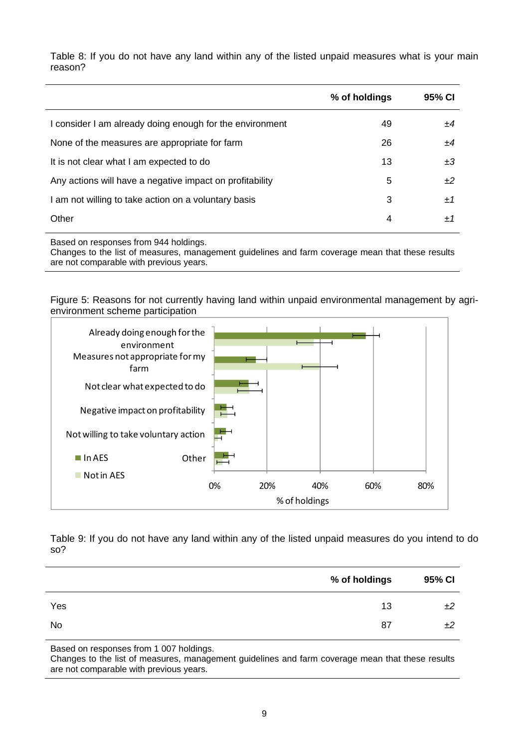Table 8: If you do not have any land within any of the listed unpaid measures what is your main reason?

|                                                          | % of holdings | 95% CI |
|----------------------------------------------------------|---------------|--------|
| I consider I am already doing enough for the environment | 49            | +4     |
| None of the measures are appropriate for farm            | 26            | +4     |
| It is not clear what I am expected to do                 | 13            | ±3     |
| Any actions will have a negative impact on profitability | 5             | ±2     |
| I am not willing to take action on a voluntary basis     | 3             | ±1     |
| Other                                                    | 4             | ±1     |

Based on responses from 944 holdings.

Changes to the list of measures, management guidelines and farm coverage mean that these results are not comparable with previous years.

Figure 5: Reasons for not currently having land within unpaid environmental management by agrienvironment scheme participation



Table 9: If you do not have any land within any of the listed unpaid measures do you intend to do so?

|     | % of holdings | 95% CI |
|-----|---------------|--------|
| Yes | 13            | ±2     |
| No  | 87            | ±2     |

Based on responses from 1 007 holdings.

Changes to the list of measures, management guidelines and farm coverage mean that these results are not comparable with previous years.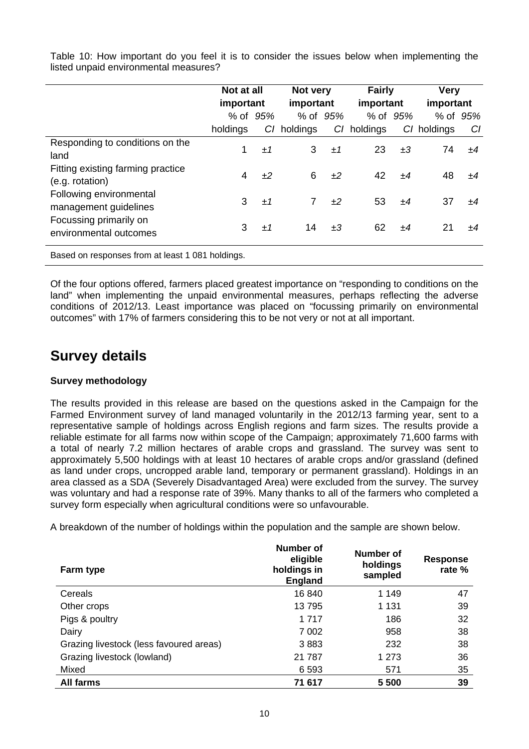|                                                      | Not at all<br>important |          | Not very<br>important |          | <b>Fairly</b><br>important |          | <b>Very</b><br>important |          |
|------------------------------------------------------|-------------------------|----------|-----------------------|----------|----------------------------|----------|--------------------------|----------|
|                                                      |                         | % of 95% |                       | % of 95% |                            | % of 95% |                          | % of 95% |
|                                                      | holdings                | CI       | holdings              | CI       | holdings                   | CI.      | holdings                 | CI       |
| Responding to conditions on the<br>land              | 1                       | ±1       | 3                     | ±1       | 23                         | ±3       | 74                       | ±4       |
| Fitting existing farming practice<br>(e.g. rotation) | 4                       | ±2       | 6                     | ±2       | 42                         | ±4       | 48                       | ±4       |
| Following environmental<br>management guidelines     | 3                       | ±1       | $\overline{7}$        | ±2       | 53                         | ±4       | 37                       | ±4       |
| Focussing primarily on<br>environmental outcomes     | 3                       | ±1       | 14                    | ±3       | 62                         | ±4       | 21                       | ±4       |
| Based on responses from at least 1 081 holdings.     |                         |          |                       |          |                            |          |                          |          |

Table 10: How important do you feel it is to consider the issues below when implementing the listed unpaid environmental measures?

Of the four options offered, farmers placed greatest importance on "responding to conditions on the land" when implementing the unpaid environmental measures, perhaps reflecting the adverse conditions of 2012/13. Least importance was placed on "focussing primarily on environmental outcomes" with 17% of farmers considering this to be not very or not at all important.

# **Survey details**

### **Survey methodology**

The results provided in this release are based on the questions asked in the Campaign for the Farmed Environment survey of land managed voluntarily in the 2012/13 farming year, sent to a representative sample of holdings across English regions and farm sizes. The results provide a reliable estimate for all farms now within scope of the Campaign; approximately 71,600 farms with a total of nearly 7.2 million hectares of arable crops and grassland. The survey was sent to approximately 5,500 holdings with at least 10 hectares of arable crops and/or grassland (defined as land under crops, uncropped arable land, temporary or permanent grassland). Holdings in an area classed as a SDA (Severely Disadvantaged Area) were excluded from the survey. The survey was voluntary and had a response rate of 39%. Many thanks to all of the farmers who completed a survey form especially when agricultural conditions were so unfavourable.

A breakdown of the number of holdings within the population and the sample are shown below.

| Farm type                               | Number of<br>eligible<br>holdings in<br><b>England</b> | Number of<br>holdings<br>sampled | <b>Response</b><br>rate % |
|-----------------------------------------|--------------------------------------------------------|----------------------------------|---------------------------|
| Cereals                                 | 16840                                                  | 1 149                            | 47                        |
| Other crops                             | 13795                                                  | 1 131                            | 39                        |
| Pigs & poultry                          | 1 7 1 7                                                | 186                              | 32                        |
| Dairy                                   | 7 0 0 2                                                | 958                              | 38                        |
| Grazing livestock (less favoured areas) | 3883                                                   | 232                              | 38                        |
| Grazing livestock (lowland)             | 21 787                                                 | 1 273                            | 36                        |
| Mixed                                   | 6 5 9 3                                                | 571                              | 35                        |
| All farms                               | 71 617                                                 | 5 500                            | 39                        |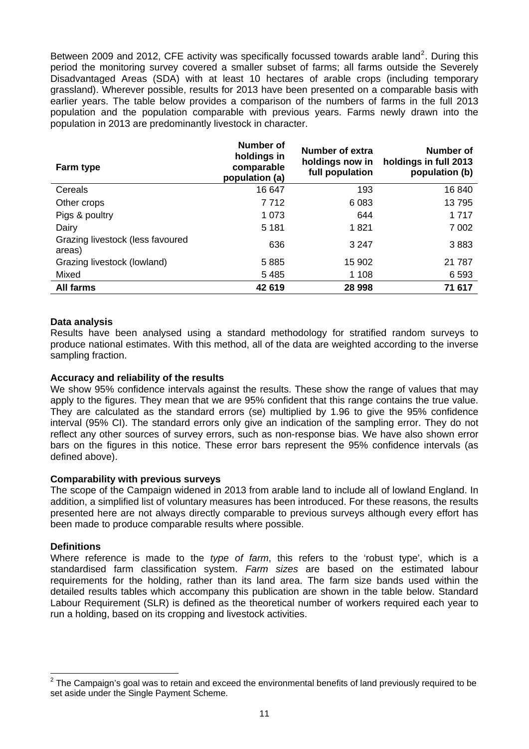Between [2](#page-10-0)009 and 2012, CFE activity was specifically focussed towards arable land<sup>2</sup>. During this period the monitoring survey covered a smaller subset of farms; all farms outside the Severely Disadvantaged Areas (SDA) with at least 10 hectares of arable crops (including temporary grassland). Wherever possible, results for 2013 have been presented on a comparable basis with earlier years. The table below provides a comparison of the numbers of farms in the full 2013 population and the population comparable with previous years. Farms newly drawn into the population in 2013 are predominantly livestock in character.

| Farm type                                  | Number of<br>holdings in<br>comparable<br>population (a) | Number of extra<br>holdings now in<br>full population | Number of<br>holdings in full 2013<br>population (b) |
|--------------------------------------------|----------------------------------------------------------|-------------------------------------------------------|------------------------------------------------------|
| Cereals                                    | 16 647                                                   | 193                                                   | 16840                                                |
| Other crops                                | 7712                                                     | 6 0 8 3                                               | 13795                                                |
| Pigs & poultry                             | 1 0 7 3                                                  | 644                                                   | 1 7 1 7                                              |
| Dairy                                      | 5 1 8 1                                                  | 1821                                                  | 7 0 0 2                                              |
| Grazing livestock (less favoured<br>areas) | 636                                                      | 3 2 4 7                                               | 3883                                                 |
| Grazing livestock (lowland)                | 5885                                                     | 15 902                                                | 21 7 8 7                                             |
| Mixed                                      | 5485                                                     | 1 1 0 8                                               | 6 5 9 3                                              |
| <b>All farms</b>                           | 42 619                                                   | 28 998                                                | 71 617                                               |

#### **Data analysis**

Results have been analysed using a standard methodology for stratified random surveys to produce national estimates. With this method, all of the data are weighted according to the inverse sampling fraction.

#### **Accuracy and reliability of the results**

We show 95% confidence intervals against the results. These show the range of values that may apply to the figures. They mean that we are 95% confident that this range contains the true value. They are calculated as the standard errors (se) multiplied by 1.96 to give the 95% confidence interval (95% CI). The standard errors only give an indication of the sampling error. They do not reflect any other sources of survey errors, such as non-response bias. We have also shown error bars on the figures in this notice. These error bars represent the 95% confidence intervals (as defined above).

#### **Comparability with previous surveys**

The scope of the Campaign widened in 2013 from arable land to include all of lowland England. In addition, a simplified list of voluntary measures has been introduced. For these reasons, the results presented here are not always directly comparable to previous surveys although every effort has been made to produce comparable results where possible.

#### **Definitions**

Where reference is made to the *type of farm*, this refers to the 'robust type', which is a standardised farm classification system. *Farm sizes* are based on the estimated labour requirements for the holding, rather than its land area. The farm size bands used within the detailed results tables which accompany this publication are shown in the table below. Standard Labour Requirement (SLR) is defined as the theoretical number of workers required each year to run a holding, based on its cropping and livestock activities.

<span id="page-10-0"></span> 2 The Campaign's goal was to retain and exceed the environmental benefits of land previously required to be set aside under the Single Payment Scheme.